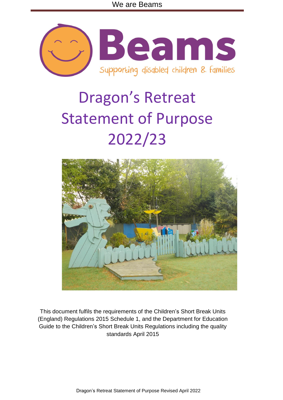

# Dragon's Retreat Statement of Purpose 2022/23



This document fulfils the requirements of the Children's Short Break Units (England) Regulations 2015 Schedule 1, and the Department for Education Guide to the Children's Short Break Units Regulations including the quality standards April 2015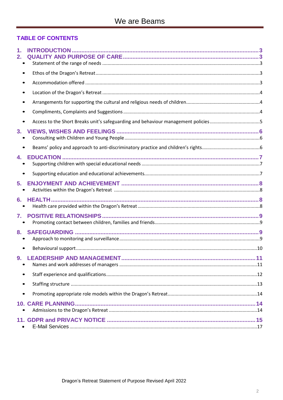# **TABLE OF CONTENTS**

| $\mathbf 1$ .<br>2. |  |
|---------------------|--|
|                     |  |
| ٠                   |  |
|                     |  |
|                     |  |
|                     |  |
|                     |  |
| 3.                  |  |
|                     |  |
| 4.                  |  |
|                     |  |
| 5.                  |  |
| 6.                  |  |
| $7_{-}$             |  |
| 8.                  |  |
|                     |  |
| $\bullet$           |  |
|                     |  |
|                     |  |
| $\bullet$           |  |
|                     |  |
|                     |  |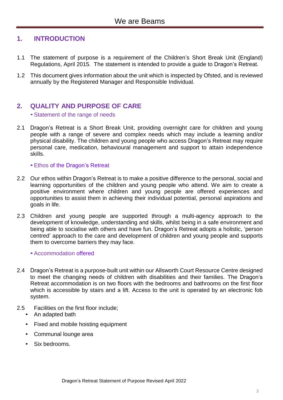# <span id="page-2-0"></span>**1. INTRODUCTION**

- 1.1 The statement of purpose is a requirement of the Children's Short Break Unit (England) Regulations, April 2015. The statement is intended to provide a guide to Dragon's Retreat.
- 1.2 This document gives information about the unit which is inspected by Ofsted, and is reviewed annually by the Registered Manager and Responsible Individual.

# <span id="page-2-2"></span><span id="page-2-1"></span>**2. QUALITY AND PURPOSE OF CARE**

•Statement of the range of needs

2.1 Dragon's Retreat is a Short Break Unit, providing overnight care for children and young people with a range of severe and complex needs which may include a learning and/or physical disability. The children and young people who access Dragon's Retreat may require personal care, medication, behavioural management and support to attain independence skills.

•Ethos of the Dragon's Retreat

- <span id="page-2-3"></span>2.2 Our ethos within Dragon's Retreat is to make a positive difference to the personal, social and learning opportunities of the children and young people who attend. We aim to create a positive environment where children and young people are offered experiences and opportunities to assist them in achieving their individual potential, personal aspirations and goals in life.
- 2.3 Children and young people are supported through a multi-agency approach to the development of knowledge, understanding and skills, whilst being in a safe environment and being able to socialise with others and have fun. Dragon's Retreat adopts a holistic, 'person centred' approach to the care and development of children and young people and supports them to overcome barriers they may face.

<span id="page-2-4"></span>•Accommodation offered

- 2.4 Dragon's Retreat is a purpose-built unit within our Allsworth Court Resource Centre designed to meet the changing needs of children with disabilities and their families. The Dragon's Retreat accommodation is on two floors with the bedrooms and bathrooms on the first floor which is accessible by stairs and a lift. Access to the unit is operated by an electronic fob system.
- 2.5 Facilities on the first floor include;
	- An adapted bath
	- Fixed and mobile hoisting equipment
	- Communal lounge area
	- Six bedrooms.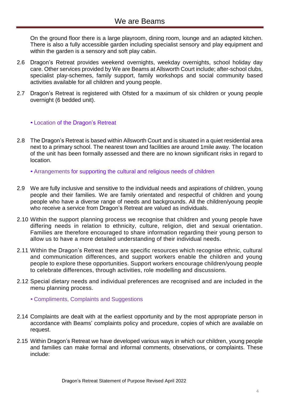On the ground floor there is a large playroom, dining room, lounge and an adapted kitchen. There is also a fully accessible garden including specialist sensory and play equipment and within the garden is a sensory and soft play cabin.

- 2.6 Dragon's Retreat provides weekend overnights, weekday overnights, school holiday day care. Other services provided by We are Beams at Allsworth Court include; after-school clubs, specialist play-schemes, family support, family workshops and social community based activities available for all children and young people.
- 2.7 Dragon's Retreat is registered with Ofsted for a maximum of six children or young people overnight (6 bedded unit).

#### <span id="page-3-0"></span>• Location of the Dragon's Retreat

- 2.8 The Dragon's Retreat is based within Allsworth Court and is situated in a quiet residential area next to a primary school. The nearest town and facilities are around 1mile away. The location of the unit has been formally assessed and there are no known significant risks in regard to location.
	- •Arrangements for supporting the cultural and religious needs of children
- <span id="page-3-1"></span>2.9 We are fully inclusive and sensitive to the individual needs and aspirations of children, young people and their families. We are family orientated and respectful of children and young people who have a diverse range of needs and backgrounds. All the children/young people who receive a service from Dragon's Retreat are valued as individuals.
- 2.10 Within the support planning process we recognise that children and young people have differing needs in relation to ethnicity, culture, religion, diet and sexual orientation. Families are therefore encouraged to share information regarding their young person to allow us to have a more detailed understanding of their individual needs.
- 2.11 Within the Dragon's Retreat there are specific resources which recognise ethnic, cultural and communication differences, and support workers enable the children and young people to explore these opportunities. Support workers encourage children/young people to celebrate differences, through activities, role modelling and discussions.
- <span id="page-3-2"></span>2.12 Special dietary needs and individual preferences are recognised and are included in the menu planning process.
	- Compliments, Complaints and Suggestions
- 2.14 Complaints are dealt with at the earliest opportunity and by the most appropriate person in accordance with Beams' complaints policy and procedure, copies of which are available on request.
- 2.15 Within Dragon's Retreat we have developed various ways in which our children, young people and families can make formal and informal comments, observations, or complaints. These include: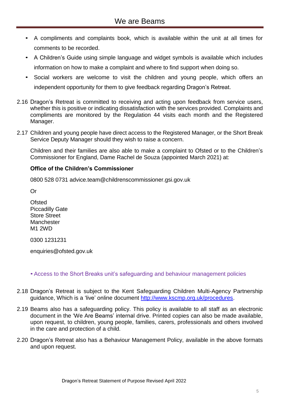- A compliments and complaints book, which is available within the unit at all times for comments to be recorded.
- A Children's Guide using simple language and widget symbols is available which includes information on how to make a complaint and where to find support when doing so.
- Social workers are welcome to visit the children and young people, which offers an independent opportunity for them to give feedback regarding Dragon's Retreat.
- 2.16 Dragon's Retreat is committed to receiving and acting upon feedback from service users, whether this is positive or indicating dissatisfaction with the services provided. Complaints and compliments are monitored by the Regulation 44 visits each month and the Registered Manager.
- 2.17 Children and young people have direct access to the Registered Manager, or the Short Break Service Deputy Manager should they wish to raise a concern.

Children and their families are also able to make a complaint to Ofsted or to the Children's Commissioner for England, Dame Rachel de Souza (appointed March 2021) at:

#### **Office of the Children's Commissioner**

0800 528 0731 [advice.team@childrenscommissioner.gsi.gov.uk](mailto:advice.team@childrenscommissioner.gsi.gov.uk)

Or

**Ofsted** Piccadilly Gate Store Street **Manchester** M1 2WD

0300 1231231

[enquiries@ofsted.gov.uk](mailto:enquiries@ofsted.gov.uk)

#### <span id="page-4-0"></span>•Access to the Short Breaks unit's safeguarding and behaviour management policies

- 2.18 Dragon's Retreat is subject to the Kent Safeguarding Children Multi-Agency Partnership guidance, Which is a 'live' online document [http://www.kscmp.org.uk/procedures.](http://www.kscmp.org.uk/procedures)
- 2.19 Beams also has a safeguarding policy. This policy is available to all staff as an electronic document in the 'We Are Beams' internal drive. Printed copies can also be made available, upon request, to children, young people, families, carers, professionals and others involved in the care and protection of a child.
- 2.20 Dragon's Retreat also has a Behaviour Management Policy, available in the above formats and upon request.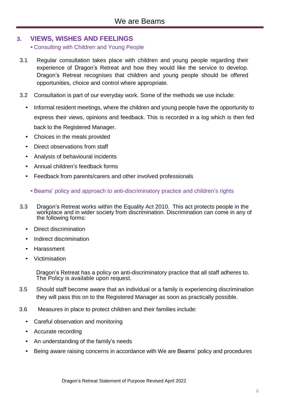# <span id="page-5-1"></span><span id="page-5-0"></span>**3. VIEWS, WISHES AND FEELINGS**

• Consulting with Children and Young People

- 3.1 Regular consultation takes place with children and young people regarding their experience of Dragon's Retreat and how they would like the service to develop. Dragon's Retreat recognises that children and young people should be offered opportunities, choice and control where appropriate.
- 3.2 Consultation is part of our everyday work. Some of the methods we use include:
	- Informal resident meetings, where the children and young people have the opportunity to express their views, opinions and feedback. This is recorded in a log which is then fed back to the Registered Manager.
	- Choices in the meals provided
	- Direct observations from staff
	- Analysis of behavioural incidents
	- Annual children's feedback forms
	- Feedback from parents/carers and other involved professionals
		- •Beams' policy and approach to anti-discriminatory practice and children's rights
- <span id="page-5-2"></span>3.3 Dragon's Retreat works within the Equality Act 2010. This act protects people in the workplace and in wider society from discrimination. Discrimination can come in any of the following forms:
	- Direct discrimination
	- Indirect discrimination
	- **Harassment**
	- Victimisation

Dragon's Retreat has a policy on anti-discriminatory practice that all staff adheres to. The Policy is available upon request.

- 3.5 Should staff become aware that an individual or a family is experiencing discrimination they will pass this on to the Registered Manager as soon as practically possible.
- 3.6 Measures in place to protect children and their families include:
	- Careful observation and monitoring
	- Accurate recording
	- An understanding of the family's needs
	- Being aware raising concerns in accordance with We are Beams' policy and procedures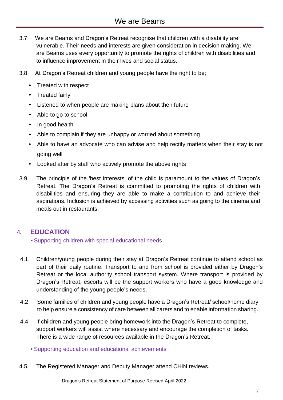# We are Beams

- 3.7 We are Beams and Dragon's Retreat recognise that children with a disability are vulnerable. Their needs and interests are given consideration in decision making. We are Beams uses every opportunity to promote the rights of children with disabilities and to influence improvement in their lives and social status.
- 3.8 At Dragon's Retreat children and young people have the right to be;
	- Treated with respect
	- Treated fairly
	- Listened to when people are making plans about their future
	- Able to go to school
	- In good health
	- Able to complain if they are unhappy or worried about something
	- Able to have an advocate who can advise and help rectify matters when their stay is not going well
	- Looked after by staff who actively promote the above rights
- 3.9 The principle of the 'best interests' of the child is paramount to the values of Dragon's Retreat. The Dragon's Retreat is committed to promoting the rights of children with disabilities and ensuring they are able to make a contribution to and achieve their aspirations. Inclusion is achieved by accessing activities such as going to the cinema and meals out in restaurants.

# <span id="page-6-1"></span><span id="page-6-0"></span>**4. EDUCATION**

•Supporting children with special educational needs

- 4.1 Children/young people during their stay at Dragon's Retreat continue to attend school as part of their daily routine. Transport to and from school is provided either by Dragon's Retreat or the local authority school transport system. Where transport is provided by Dragon's Retreat, escorts will be the support workers who have a good knowledge and understanding of the young people's needs.
- 4.2 Some families of children and young people have a Dragon's Retreat/ school/home diary to help ensure a consistency of care between all carers and to enable information sharing.
- 4.4 If children and young people bring homework into the Dragon's Retreat to complete, support workers will assist where necessary and encourage the completion of tasks. There is a wide range of resources available in the Dragon's Retreat.
	- •Supporting education and educational achievements
- <span id="page-6-2"></span>4.5 The Registered Manager and Deputy Manager attend CHIN reviews.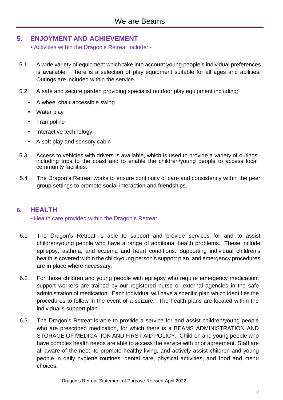# <span id="page-7-1"></span><span id="page-7-0"></span>**5. ENJOYMENT AND ACHIEVEMENT**

•Activities within the Dragon's Retreat include: -

- 5.1 A wide variety of equipment which take into account young people's individual preferences is available. There is a selection of play equipment suitable for all ages and abilities. Outings are included within the service.
- 5.2 A safe and secure garden providing specialist outdoor play equipment including;
	- A wheel chair accessible swing
	- Water play
	- Trampoline
	- Interactive technology
	- A soft play and sensory cabin
- 5.3 Access to vehicles with drivers is available, which is used to provide a variety of outings including trips to the coast and to enable the children/young people to access local community facilities.
- 5.4 The Dragon's Retreat works to ensure continuity of care and consistency within the peer group settings to promote social interaction and friendships.

# <span id="page-7-3"></span><span id="page-7-2"></span>**6. HEALTH**

# • Health care provided within the Dragon's Retreat

- 6.1 The Dragon's Retreat is able to support and provide services for and to assist children/young people who have a range of additional health problems. These include epilepsy, asthma, and eczema and heart conditions. Supporting individual children's health is covered within the child/young person's support plan, and emergency procedures are in place where necessary.
- 6.2 For those children and young people with epilepsy who require emergency medication, support workers are trained by our registered nurse or external agencies in the safe administration of medication. Each individual will have a specific plan which identifies the procedures to follow in the event of a seizure. The health plans are located within the individual's support plan.
- 6.3 The Dragon's Retreat is able to provide a service for and assist children/young people who are prescribed medication, for which there is a BEAMS ADMINISTRATION AND STORAGE OF MEDICATION AND FIRST AID POLICY. Children and young people who have complex health needs are able to access the service with prior agreement. Staff are all aware of the need to promote healthy living, and actively assist children and young people in daily hygiene routines, dental care, physical activities, and food and menu choices.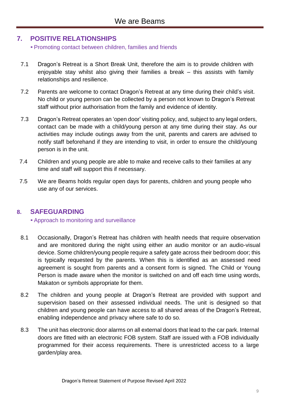# <span id="page-8-1"></span><span id="page-8-0"></span>**7. POSITIVE RELATIONSHIPS**

•Promoting contact between children, families and friends

- 7.1 Dragon's Retreat is a Short Break Unit, therefore the aim is to provide children with enjoyable stay whilst also giving their families a break – this assists with family relationships and resilience.
- 7.2 Parents are welcome to contact Dragon's Retreat at any time during their child's visit. No child or young person can be collected by a person not known to Dragon's Retreat staff without prior authorisation from the family and evidence of identity.
- 7.3 Dragon's Retreat operates an 'open door' visiting policy, and, subject to any legal orders, contact can be made with a child/young person at any time during their stay. As our activities may include outings away from the unit, parents and carers are advised to notify staff beforehand if they are intending to visit, in order to ensure the child/young person is in the unit.
- 7.4 Children and young people are able to make and receive calls to their families at any time and staff will support this if necessary.
- 7.5 We are Beams holds regular open days for parents, children and young people who use any of our services.

# <span id="page-8-3"></span><span id="page-8-2"></span>**8. SAFEGUARDING**

# •Approach to monitoring and surveillance

- 8.1 Occasionally, Dragon's Retreat has children with health needs that require observation and are monitored during the night using either an audio monitor or an audio-visual device. Some children/young people require a safety gate across their bedroom door; this is typically requested by the parents. When this is identified as an assessed need agreement is sought from parents and a consent form is signed. The Child or Young Person is made aware when the monitor is switched on and off each time using words, Makaton or symbols appropriate for them.
- 8.2 The children and young people at Dragon's Retreat are provided with support and supervision based on their assessed individual needs. The unit is designed so that children and young people can have access to all shared areas of the Dragon's Retreat, enabling independence and privacy where safe to do so.
- 8.3 The unit has electronic door alarms on all external doors that lead to the car park. Internal doors are fitted with an electronic FOB system. Staff are issued with a FOB individually programmed for their access requirements. There is unrestricted access to a large garden/play area.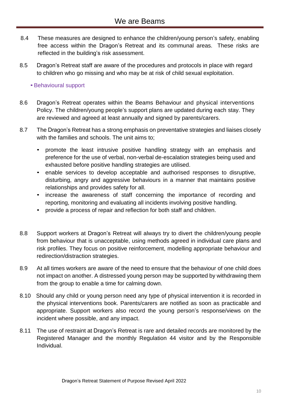- 8.4 These measures are designed to enhance the children/young person's safety, enabling free access within the Dragon's Retreat and its communal areas. These risks are reflected in the building's risk assessment.
- 8.5 Dragon's Retreat staff are aware of the procedures and protocols in place with regard to children who go missing and who may be at risk of child sexual exploitation.

# <span id="page-9-0"></span>•Behavioural support

- 8.6 Dragon's Retreat operates within the Beams Behaviour and physical interventions Policy. The children/young people's support plans are updated during each stay. They are reviewed and agreed at least annually and signed by parents/carers.
- 8.7 The Dragon's Retreat has a strong emphasis on preventative strategies and liaises closely with the families and schools. The unit aims to;
	- promote the least intrusive positive handling strategy with an emphasis and preference for the use of verbal, non-verbal de-escalation strategies being used and exhausted before positive handling strategies are utilised.
	- enable services to develop acceptable and authorised responses to disruptive, disturbing, angry and aggressive behaviours in a manner that maintains positive relationships and provides safety for all.
	- increase the awareness of staff concerning the importance of recording and reporting, monitoring and evaluating all incidents involving positive handling.
	- provide a process of repair and reflection for both staff and children.
- 8.8 Support workers at Dragon's Retreat will always try to divert the children/young people from behaviour that is unacceptable, using methods agreed in individual care plans and risk profiles. They focus on positive reinforcement, modelling appropriate behaviour and redirection/distraction strategies.
- 8.9 At all times workers are aware of the need to ensure that the behaviour of one child does not impact on another. A distressed young person may be supported by withdrawing them from the group to enable a time for calming down.
- 8.10 Should any child or young person need any type of physical intervention it is recorded in the physical interventions book. Parents/carers are notified as soon as practicable and appropriate. Support workers also record the young person's response/views on the incident where possible, and any impact.
- 8.11 The use of restraint at Dragon's Retreat is rare and detailed records are monitored by the Registered Manager and the monthly Regulation 44 visitor and by the Responsible Individual.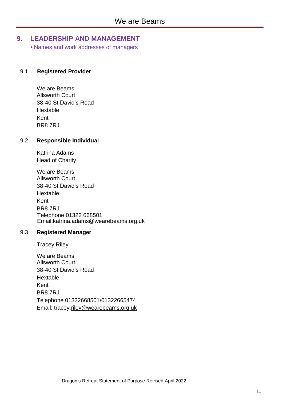# <span id="page-10-1"></span><span id="page-10-0"></span>**9. LEADERSHIP AND MANAGEMENT**

• Names and work addresses of managers

#### 9.1 **Registered Provider**

We are Beams Allsworth Court 38-40 St David's Road Hextable Kent BR8 7RJ

#### 9.2 **Responsible Individual**

Katrina Adams Head of Charity

We are Beams Allsworth Court 38-40 St David's Road Hextable Kent BR8 7RJ Telephone 01322 668501 Email:katrina.adams@wearebeams.org.uk

#### 9.3 **Registered Manager**

Tracey Riley

We are Beams Allsworth Court 38-40 St David's Road Hextable Kent BR8 7RJ Telephone 01322668501/01322665474 Email: tracey[.riley@wearebeams.org.uk](mailto:riley@wearebeams.org.uk)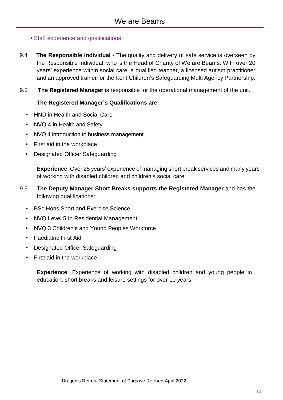# <span id="page-11-0"></span>•Staff experience and qualifications

- 9.4 **The Responsible Individual -** The quality and delivery of safe service is overseen by the Responsible Individual, who is the Head of Charity of We are Beams. With over 20 years' experience within social care, a qualified teacher, a licensed autism practitioner and an approved trainer for the Kent Children's Safeguarding Multi Agency Partnership.
- 9.5 **The Registered Manager** is responsible for the operational management of the unit.

#### **The Registered Manager's Qualifications are:**

- HND in Health and Social Care
- NVQ 4 in Health and Safety
- NVQ 4 introduction to business management
- First aid in the workplace
- Designated Officer Safeguarding

**Experience**: Over 25 years' experience of managing short break services and many years of working with disabled children and children's social care.

- 9.6 **The Deputy Manager Short Breaks supports the Registered Manager** and has the following qualifications:
	- BSc Hons Sport and Exercise Science
	- NVQ Level 5 In Residential Management
	- NVQ 3 Children's and Young Peoples Workforce
	- Paediatric First Aid
	- Designated Officer Safeguarding
	- First aid in the workplace

**Experience**: Experience of working with disabled children and young people in education, short breaks and leisure settings for over 10 years.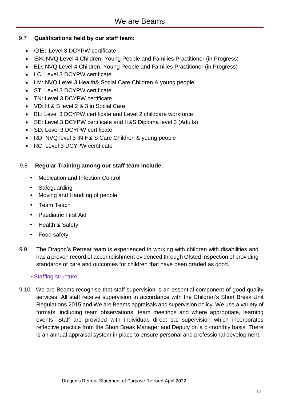# 9.7 **Qualifications held by our staff team:**

- GE: Level 3 DCYPW certificate
- SK:NVQ Level 4 Children, Young People and Families Practitioner (in Progress)
- ED: NVQ Level 4 Children, Young People and Families Practitioner (in Progress)
- LC: Level 3 DCYPW certificate
- LM: NVQ Level 3 Health& Social Care Children & young people
- ST: Level 3 DCYPW certificate
- TN: Level 3 DCYPW certificate
- VD: H & S level 2 & 3 in Social Care
- BL: Level 3 DCYPW certificate and Level 2 childcare workforce
- SE: Level 3 DCYPW certificate and H&S Diploma level 3 (Adults)
- SD: Level 3 DCYPW certificate
- RD: NVQ level 3 IN H& S Care Children & young people
- RC: Level 3 DCYPW certificate

# 9.8 **Regular Training among our staff team include:**

- Medication and Infection Control
- Safeguarding
- Moving and Handling of people
- Team Teach
- Paediatric First Aid
- Health & Safety
- Food safety
- 9.9 The Dragon's Retreat team is experienced in working with children with disabilities and has a proven record of accomplishment evidenced through Ofsted Inspection of providing standards of care and outcomes for children that have been graded as good.

# •Staffing structure

<span id="page-12-0"></span>9.10 We are Beams recognise that staff supervision is an essential component of good quality services. All staff receive supervision in accordance with the Children's Short Break Unit Regulations 2015 and We are Beams appraisals and supervision policy. We use a variety of formats, including team observations, team meetings and where appropriate, learning events. Staff are provided with individual, direct 1:1 supervision which incorporates reflective practice from the Short Break Manager and Deputy on a bi-monthly basis. There is an annual appraisal system in place to ensure personal and professional development.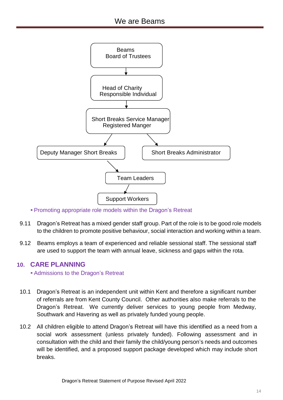

•Promoting appropriate role models within the Dragon's Retreat

- <span id="page-13-0"></span>9.11 Dragon's Retreat has a mixed gender staff group. Part of the role is to be good role models to the children to promote positive behaviour, social interaction and working within a team.
- 9.12 Beams employs a team of experienced and reliable sessional staff. The sessional staff are used to support the team with annual leave, sickness and gaps within the rota.

# <span id="page-13-2"></span><span id="page-13-1"></span>**10. CARE PLANNING**

•Admissions to the Dragon's Retreat

- 10.1 Dragon's Retreat is an independent unit within Kent and therefore a significant number of referrals are from Kent County Council. Other authorities also make referrals to the Dragon's Retreat. We currently deliver services to young people from Medway, Southwark and Havering as well as privately funded young people.
- 10.2 All children eligible to attend Dragon's Retreat will have this identified as a need from a social work assessment (unless privately funded). Following assessment and in consultation with the child and their family the child/young person's needs and outcomes will be identified, and a proposed support package developed which may include short breaks.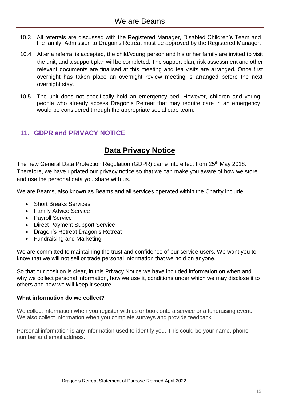- 10.3 All referrals are discussed with the Registered Manager, Disabled Children's Team and the family. Admission to Dragon's Retreat must be approved by the Registered Manager.
- 10.4 After a referral is accepted, the child/young person and his or her family are invited to visit the unit, and a support plan will be completed. The support plan, risk assessment and other relevant documents are finalised at this meeting and tea visits are arranged. Once first overnight has taken place an overnight review meeting is arranged before the next overnight stay.
- 10.5 The unit does not specifically hold an emergency bed. However, children and young people who already access Dragon's Retreat that may require care in an emergency would be considered through the appropriate social care team.

# <span id="page-14-0"></span>**11. GDPR and PRIVACY NOTICE**

# **Data Privacy Notice**

The new General Data Protection Regulation (GDPR) came into effect from 25<sup>th</sup> May 2018. Therefore, we have updated our privacy notice so that we can make you aware of how we store and use the personal data you share with us.

We are Beams, also known as Beams and all services operated within the Charity include;

- Short Breaks Services
- Family Advice Service
- Payroll Service
- Direct Payment Support Service
- Dragon's Retreat Dragon's Retreat
- Fundraising and Marketing

We are committed to maintaining the trust and confidence of our service users. We want you to know that we will not sell or trade personal information that we hold on anyone.

So that our position is clear, in this Privacy Notice we have included information on when and why we collect personal information, how we use it, conditions under which we may disclose it to others and how we will keep it secure.

# **What information do we collect?**

We collect information when you register with us or book onto a service or a fundraising event. We also collect information when you complete surveys and provide feedback.

Personal information is any information used to identify you. This could be your name, phone number and email address.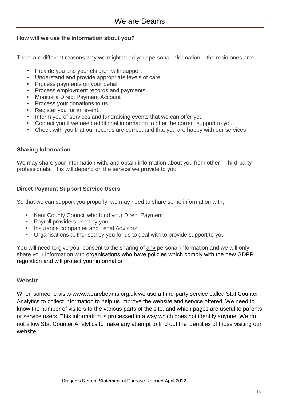# **How will we use the information about you?**

There are different reasons why we might need your personal information – the main ones are:

- Provide you and your children with support
- Understand and provide appropriate levels of care
- Process payments on your behalf
- Process employment records and payments
- Monitor a Direct Payment Account
- Process your donations to us
- Register you for an event.
- Inform you of services and fundraising events that we can offer you
- Contact you if we need additional information to offer the correct support to you.
- Check with you that our records are correct and that you are happy with our services

# **Sharing Information**

We may share your information with, and obtain information about you from other Third-party professionals. This will depend on the service we provide to you.

# **Direct Payment Support Service Users**

So that we can support you properly, we may need to share some information with;

- Kent County Council who fund your Direct Payment
- Payroll providers used by you
- Insurance companies and Legal Advisors
- Organisations authorised by you for us to deal with to provide support to you

You will need to give your consent to the sharing of any personal information and we will only share your information with organisations who have policies which comply with the new GDPR regulation and will protect your information

# **Website**

When someone visits www.wearebeams.org.uk we use a third-party service called Stat Counter Analytics to collect information to help us improve the website and service offered. We need to know the number of visitors to the various parts of the site, and which pages are useful to parents or service users. This information is processed in a way which does not identify anyone. We do not allow Stat Counter Analytics to make any attempt to find out the identities of those visiting our website.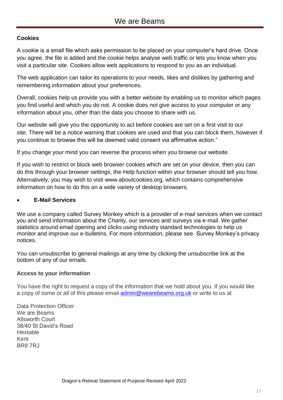# **Cookies**

A cookie is a small file which asks permission to be placed on your computer's hard drive. Once you agree, the file is added and the cookie helps analyse web traffic or lets you know when you visit a particular site. Cookies allow web applications to respond to you as an individual.

The web application can tailor its operations to your needs, likes and dislikes by gathering and remembering information about your preferences.

Overall, cookies help us provide you with a better website by enabling us to monitor which pages you find useful and which you do not. A cookie does not give access to your computer or any information about you, other than the data you choose to share with us.

Our website will give you the opportunity to act before cookies are set on a first visit to our site. There will be a notice warning that cookies are used and that you can block them, however if you continue to browse this will be deemed valid consent via affirmative action."

If you change your mind you can reverse the process when you browse our website.

If you wish to restrict or block web browser cookies which are set on your device, then you can do this through your browser settings; the Help function within your browser should tell you how. Alternatively, you may wish to visit www.aboutcookies.org, which contains comprehensive information on how to do this on a wide variety of desktop browsers.

#### <span id="page-16-0"></span>**E-Mail Services**

We use a company called Survey Monkey which is a provider of e-mail services when we contact you and send information about the Charity, our services and surveys via e-mail. We gather statistics around email opening and clicks using industry standard technologies to help us monitor and improve our e-bulletins. For more information, please see [Survey Monkey's privacy](https://mailchimp.com/legal/privacy/)  [notices](https://mailchimp.com/legal/privacy/).

You can unsubscribe to general mailings at any time by clicking the unsubscribe link at the bottom of any of our emails.

# **Access to your information**

You have the right to request a copy of the information that we hold about you. If you would like a copy of some or all of this please email [admin@wearebeams.org.uk](mailto:admin@wearebeams.org.uk) or write to us at

Data Protection Officer We are Beams Allsworth Court 38/40 St David's Road Hextable Kent BR8 7RJ